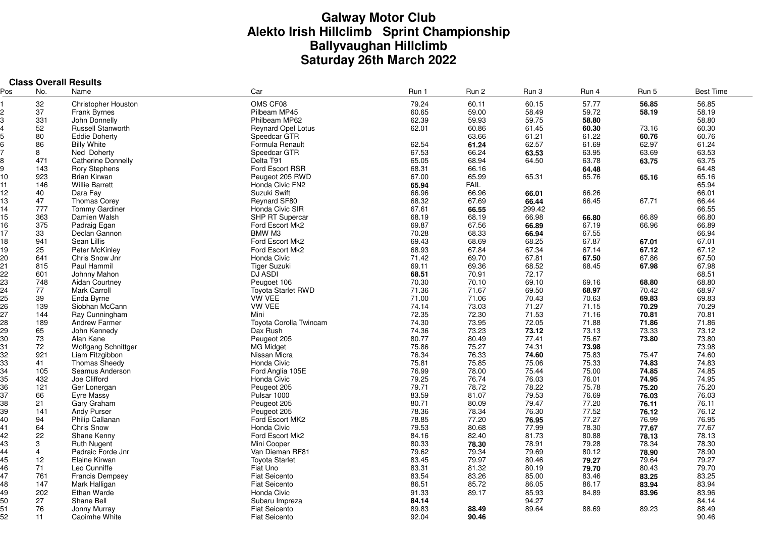# **Galway Motor Club Alekto Irish Hillclimb Sprint Championship Ballyvaughan Hillclimb Saturday 26th March 2022**

|     | <b>Class Overall Results</b> |                            |                               |                |                |                |       |                |                  |  |  |
|-----|------------------------------|----------------------------|-------------------------------|----------------|----------------|----------------|-------|----------------|------------------|--|--|
| Pos | No.                          | Name                       | Car                           | Run 1          | Run 2          | Run 3          | Run 4 | Run 5          | <b>Best Time</b> |  |  |
|     | 32                           | <b>Christopher Houston</b> | OMS CF08                      | 79.24          | 60.11          | 60.15          | 57.77 | 56.85          | 56.85            |  |  |
| 2   | 37                           | <b>Frank Byrnes</b>        | Pilbeam MP45                  | 60.65          | 59.00          | 58.49          | 59.72 | 58.19          | 58.19            |  |  |
| 3   | 331                          | John Donnelly              | Philbeam MP62                 | 62.39          | 59.93          | 59.75          | 58.80 |                | 58.80            |  |  |
|     | 52                           | <b>Russell Stanworth</b>   | Reynard Opel Lotus            | 62.01          | 60.86          | 61.45          | 60.30 | 73.16          | 60.30            |  |  |
|     | 80                           | <b>Eddie Doherty</b>       | Speedcar GTR                  |                | 63.66          | 61.21          | 61.22 | 60.76          | 60.76            |  |  |
|     | 86                           | <b>Billy White</b>         | Formula Renault               | 62.54          | 61.24          | 62.57          | 61.69 | 62.97          | 61.24            |  |  |
|     | 8                            | Ned Doherty                | Speedcar GTR                  | 67.53          | 66.24          | 63.53          | 63.95 | 63.69          | 63.53            |  |  |
| 8   | 471                          | Catherine Donnelly         | Delta T91                     | 65.05          | 68.94          | 64.50          | 63.78 | 63.75          | 63.75            |  |  |
| g   | 143                          | <b>Rory Stephens</b>       | Ford Escort RSR               | 68.31          | 66.16          |                | 64.48 |                | 64.48            |  |  |
| 10  | 923                          | Brian Kirwan               | Peugeot 205 RWD               | 67.00          | 65.99          | 65.31          | 65.76 | 65.16          | 65.16            |  |  |
| 11  | 146                          | <b>Willie Barrett</b>      | Honda Civic FN2               | 65.94          | <b>FAIL</b>    |                |       |                | 65.94            |  |  |
| 12  | 40                           | Dara Fay                   | Suzuki Swift                  | 66.96          | 66.96          | 66.01          | 66.26 |                | 66.01            |  |  |
| 13  | 47                           | <b>Thomas Corey</b>        | Reynard SF80                  | 68.32          | 67.69          | 66.44          | 66.45 | 67.71          | 66.44            |  |  |
| 14  | 777                          | <b>Tommy Gardiner</b>      | Honda Civic SIR               | 67.61          | 66.55          | 299.42         |       |                | 66.55            |  |  |
|     | 363                          |                            | SHP RT Supercar               |                |                |                | 66.80 |                |                  |  |  |
| 15  | 375                          | Damien Walsh               | Ford Escort Mk2               | 68.19<br>69.87 | 68.19<br>67.56 | 66.98<br>66.89 | 67.19 | 66.89<br>66.96 | 66.80<br>66.89   |  |  |
| 16  |                              | Padraig Egan               |                               |                |                |                |       |                |                  |  |  |
| 17  | 33                           | Declan Gannon              | BMW M3                        | 70.28          | 68.33          | 66.94          | 67.55 |                | 66.94            |  |  |
| 18  | 941                          | Sean Lillis                | Ford Escort Mk2               | 69.43          | 68.69          | 68.25          | 67.87 | 67.01          | 67.01            |  |  |
| 19  | 25                           | Peter McKinley             | Ford Escort Mk2               | 68.93          | 67.84          | 67.34          | 67.14 | 67.12          | 67.12            |  |  |
| 20  | 641                          | Chris Snow Jnr             | Honda Civic                   | 71.42          | 69.70          | 67.81          | 67.50 | 67.86          | 67.50            |  |  |
| 21  | 815                          | Paul Hammil                | <b>Tiger Suzuki</b>           | 69.11          | 69.36          | 68.52          | 68.45 | 67.98          | 67.98            |  |  |
| 22  | 601                          | Johnny Mahon               | <b>DJ ASDI</b>                | 68.51          | 70.91          | 72.17          |       |                | 68.51            |  |  |
| 23  | 748                          | Aidan Courtney             | Peugoet 106                   | 70.30          | 70.10          | 69.10          | 69.16 | 68.80          | 68.80            |  |  |
| 24  | 77                           | <b>Mark Carroll</b>        | <b>Toyota Starlet RWD</b>     | 71.36          | 71.67          | 69.50          | 68.97 | 70.42          | 68.97            |  |  |
| 25  | 39                           | Enda Byrne                 | <b>VW VEE</b>                 | 71.00          | 71.06          | 70.43          | 70.63 | 69.83          | 69.83            |  |  |
| 26  | 139                          | Siobhan McCann             | <b>VW VEE</b>                 | 74.14          | 73.03          | 71.27          | 71.15 | 70.29          | 70.29            |  |  |
| 27  | 144                          | Ray Cunningham             | Mini                          | 72.35          | 72.30          | 71.53          | 71.16 | 70.81          | 70.81            |  |  |
| 28  | 189                          | <b>Andrew Farmer</b>       | <b>Toyota Corolla Twincam</b> | 74.30          | 73.95          | 72.05          | 71.88 | 71.86          | 71.86            |  |  |
| 29  | 65                           | John Kennedy               | Dax Rush                      | 74.36          | 73.23          | 73.12          | 73.13 | 73.33          | 73.12            |  |  |
| 30  | 73                           | Alan Kane                  | Peugeot 205                   | 80.77          | 80.49          | 77.41          | 75.67 | 73.80          | 73.80            |  |  |
| 31  | 72                           | Wolfgang Schnittger        | MG Midget                     | 75.86          | 75.27          | 74.31          | 73.98 |                | 73.98            |  |  |
| 32  | 921                          | Liam Fitzgibbon            | Nissan Micra                  | 76.34          | 76.33          | 74.60          | 75.83 | 75.47          | 74.60            |  |  |
| 33  | 41                           | <b>Thomas Sheedy</b>       | Honda Civic                   | 75.81          | 75.85          | 75.06          | 75.33 | 74.83          | 74.83            |  |  |
| 34  | 105                          | Seamus Anderson            | Ford Anglia 105E              | 76.99          | 78.00          | 75.44          | 75.00 | 74.85          | 74.85            |  |  |
| 35  | 432                          | Joe Clifford               | Honda Civic                   | 79.25          | 76.74          | 76.03          | 76.01 | 74.95          | 74.95            |  |  |
| 36  | 121                          | Ger Lonergan               | Peugeot 205                   | 79.71          | 78.72          | 78.22          | 75.78 | 75.20          | 75.20            |  |  |
| 37  | 66                           | Eyre Massy                 | Pulsar 1000                   | 83.59          | 81.07          | 79.53          | 76.69 | 76.03          | 76.03            |  |  |
| 38  | 21                           | Gary Graham                | Peugeot 205                   | 80.71          | 80.09          | 79.47          | 77.20 | 76.11          | 76.11            |  |  |
| 39  | 141                          | Andy Purser                | Peugeot 205                   | 78.36          | 78.34          | 76.30          | 77.52 | 76.12          | 76.12            |  |  |
| 40  | 94                           | Philip Callanan            | Ford Escort MK2               | 78.85          | 77.20          | 76.95          | 77.27 | 76.99          | 76.95            |  |  |
| 41  | 64                           | Chris Snow                 | Honda Civic                   | 79.53          | 80.68          | 77.99          | 78.30 | 77.67          | 77.67            |  |  |
| 42  | 22                           | Shane Kenny                | Ford Escort Mk2               | 84.16          | 82.40          | 81.73          | 80.88 | 78.13          | 78.13            |  |  |
| 43  | 3                            | <b>Ruth Nugent</b>         | Mini Cooper                   | 80.33          | 78.30          | 78.91          | 79.28 | 78.34          | 78.30            |  |  |
| 44  | $\overline{4}$               | Padraic Forde Jnr          | Van Dieman RF81               | 79.62          | 79.34          | 79.69          | 80.12 | 78.90          | 78.90            |  |  |
| 45  | 12                           | Elaine Kirwan              | <b>Toyota Starlet</b>         | 83.45          | 79.97          | 80.46          | 79.27 | 79.64          | 79.27            |  |  |
| 46  | 71                           | Leo Cunniffe               | Fiat Uno                      | 83.31          | 81.32          | 80.19          | 79.70 | 80.43          | 79.70            |  |  |
| 47  | 761                          | <b>Francis Dempsey</b>     | <b>Fiat Seicento</b>          | 83.54          | 83.26          | 85.00          | 83.46 | 83.25          | 83.25            |  |  |
| 48  | 147                          | Mark Halligan              | <b>Fiat Seicento</b>          | 86.51          | 85.72          | 86.05          | 86.17 | 83.94          | 83.94            |  |  |
| 49  | 202                          | Ethan Warde                | Honda Civic                   | 91.33          | 89.17          | 85.93          | 84.89 | 83.96          | 83.96            |  |  |
| 50  | 27                           | Shane Bell                 | Subaru Impreza                | 84.14          |                | 94.27          |       |                | 84.14            |  |  |
| 51  | 76                           | Jonny Murray               | <b>Fiat Seicento</b>          | 89.83          | 88.49          | 89.64          | 88.69 | 89.23          | 88.49            |  |  |
| 52  | 11                           | Caoimhe White              | <b>Fiat Seicento</b>          | 92.04          | 90.46          |                |       |                | 90.46            |  |  |
|     |                              |                            |                               |                |                |                |       |                |                  |  |  |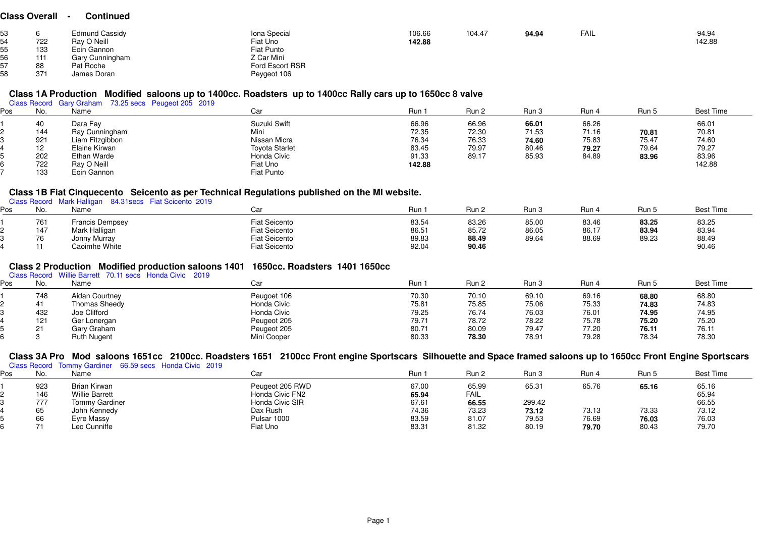#### **Class Overall - Continued**

| 722<br>133<br>111 | <b>Edmund Cassidy</b><br>Ray O Neill<br>Eoin Gannon<br>Gary Cunningham | Iona Special<br>Fiat Uno<br>Fiat Punto<br>Z Car Mini | 106.66<br>142.88 | 104.47 | 94.94 | FAIL | 94.94<br>142.88 |
|-------------------|------------------------------------------------------------------------|------------------------------------------------------|------------------|--------|-------|------|-----------------|
|                   |                                                                        |                                                      |                  |        |       |      |                 |
| 88                | Pat Roche                                                              | Ford Escort RSR                                      |                  |        |       |      |                 |
| 371               | James Doran                                                            | Peygeot 106                                          |                  |        |       |      |                 |

### **Class 1A Production Modified saloons up to 1400cc. Roadsters up to 1400cc Rally cars up to 1650cc 8 valve**

| Class Record Gary Graham 73.25 secs Peugeot 205 2019 |  |  |  |
|------------------------------------------------------|--|--|--|

| os | No. | __<br>Name      | Car                   | Run i  | Run 2 | Run 3 | Run 4 | Run 5 | <b>Best Time</b> |
|----|-----|-----------------|-----------------------|--------|-------|-------|-------|-------|------------------|
|    | 40  | Dara Fay        | Suzuki Swift          | 66.96  | 66.96 | 66.01 | 66.26 |       | 66.01            |
|    | 144 | Ray Cunningham  | Mini                  | 72.35  | 72.30 | 71.53 | 71.16 | 70.81 | 70.81            |
|    | 921 | Liam Fitzgibbon | Nissan Micra          | 76.34  | 76.33 | 74.60 | 75.83 | 75.47 | 74.60            |
|    | 12  | Elaine Kirwan   | <b>Toyota Starlet</b> | 83.45  | 79.97 | 80.46 | 79.27 | 79.64 | 79.27            |
|    | 202 | Ethan Warde     | Honda Civic           | 91.33  | 89.17 | 85.93 | 84.89 | 83.96 | 83.96            |
|    | 722 | Ray O Neill     | Fiat Uno              | 142.88 |       |       |       |       | 142.88           |
|    | 133 | Eoin Gannon     | Fiat Punto            |        |       |       |       |       |                  |

# **Class 1B Fiat Cinquecento Seicento as per Technical Regulations published on the MI website.** Class Record Mark Halligan 84.31secs Fiat Scicento 2019

| פס | No. | Class Record Mark Halligan 84.31 secs Flat Scicento 2019<br>Name | Car                  | Run <sup>.</sup> | Run 2 | Run 3 | Run 4 | Run 5 | Best Time |
|----|-----|------------------------------------------------------------------|----------------------|------------------|-------|-------|-------|-------|-----------|
|    | 761 | Francis Dempsey                                                  | <b>Fiat Seicento</b> | 83.54            | 83.26 | 85.00 | 83.46 | 83.25 | 83.25     |
|    | 147 | Mark Halligan                                                    | <b>Fiat Seicento</b> | 86.51            | 85.72 | 86.05 | 86.17 | 83.94 | 83.94     |
|    | 76  | Jonny Murray                                                     | <b>Fiat Seicento</b> | 89.83            | 88.49 | 89.64 | 88.69 | 89.23 | 88.49     |
|    |     | Caoimhe White                                                    | <b>Fiat Seicento</b> | 92.04            | 90.46 |       |       |       | 90.46     |

# **Class 2 Production Modified production saloons 1401 1650cc. Roadsters 1401 1650cc** Class Record Willie Barrett 70.11 secs Honda Civic 2019

| os | No.       | Name               | r.<br>Ud    | Run <sup>-</sup> | Run 2 | Run 3 | Run 4 | Run 5 | <b>Best Time</b> |
|----|-----------|--------------------|-------------|------------------|-------|-------|-------|-------|------------------|
|    | 748       | Aidan Courtney     | Peugoet 106 | 70.30            | 70.10 | 69.10 | 69.16 | 68.80 | 68.80            |
|    |           | Thomas Sheedy      | Honda Civic | 75.81            | 75.85 | 75.06 | 75.33 | 74.83 | 74.83            |
|    | 432       | Joe Clifford       | Honda Civic | 79.25            | 76.74 | 76.03 | 76.01 | 74.95 | 74.95            |
|    | 121       | Ger Lonergan       | Peugeot 205 | 79.71            | 78.72 | 78.22 | 75.78 | 75.20 | 75.20            |
|    | <b>O1</b> | Gary Graham        | Peugeot 205 | 80.71            | 80.09 | 79.47 | 77.20 | 76.11 | 76.11            |
|    |           | <b>Ruth Nugent</b> | Mini Cooper | 80.33            | 78.30 | 78.91 | 79.28 | 78.34 | 78.30            |

## **Class 3A Pro Mod saloons 1651cc 2100cc. Roadsters 1651 2100cc Front engine Sportscars Silhouette and Space framed saloons up to 1650cc Front Engine Sportscars**

|     |                       |                                                         |       |       |        |       |       | $\sim$           |
|-----|-----------------------|---------------------------------------------------------|-------|-------|--------|-------|-------|------------------|
| No. | Name                  | Car                                                     | Run : | Run 2 | Run 3  | Run 4 | Run 5 | <b>Best Time</b> |
| 923 | Brian Kirwan          | Peugeot 205 RWD                                         | 67.00 | 65.99 | 65.31  | 65.76 | 65.16 | 65.16            |
| 146 | <b>Willie Barrett</b> | Honda Civic FN2                                         | 65.94 | FAIL  |        |       |       | 65.94            |
| 777 | <b>Tommy Gardiner</b> | Honda Civic SIR                                         | 67.61 | 66.55 | 299.42 |       |       | 66.55            |
| 65  | John Kennedy          | Dax Rush                                                | 74.36 | 73.23 | 73.12  | 73.13 | 73.33 | 73.12            |
| 66  | Eyre Massy            | Pulsar 1000                                             | 83.59 | 81.07 | 79.53  | 76.69 | 76.03 | 76.03            |
|     | Leo Cunniffe          | Fiat Uno                                                | 83.31 | 81.32 | 80.19  | 79.70 | 80.43 | 79.70            |
|     |                       | Class Record Tommy Gardiner 66.59 secs Honda Civic 2019 |       | -     |        |       |       |                  |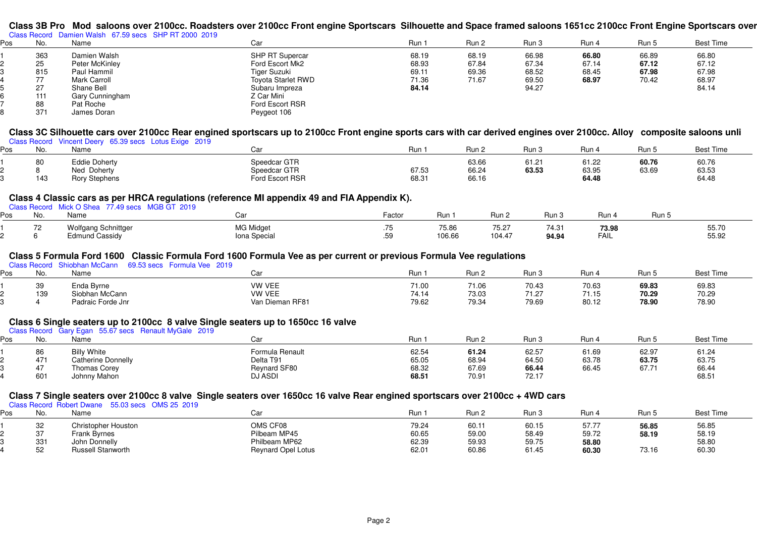# Class 3B Pro Mod saloons over 2100cc. Roadsters over 2100cc Front engine Sportscars Silhouette and Space framed saloons 1651cc 2100cc Front Engine Sportscars over<br><sub>Class Record Damien Walsh 67.59 secs SHP RT 2000 2019</sub>

| Pos | No. | Name                | Car                       | Run 1 | Run 2 | Run 3 | Run 4 | Run 5 | <b>Best Time</b> |
|-----|-----|---------------------|---------------------------|-------|-------|-------|-------|-------|------------------|
|     | 363 | Damien Walsh        | SHP RT Supercar           | 68.19 | 68.19 | 66.98 | 66.80 | 66.89 | 66.80            |
|     | 25  | Peter McKinley      | Ford Escort Mk2           | 68.93 | 67.84 | 67.34 | 67.14 | 67.12 | 67.12            |
|     | 815 | Paul Hammil         | Tiger Suzuki              | 69.11 | 69.36 | 68.52 | 68.45 | 67.98 | 67.98            |
|     | 77  | <b>Mark Carroll</b> | <b>Toyota Starlet RWD</b> | 71.36 | 71.67 | 69.50 | 68.97 | 70.42 | 68.97            |
|     | 27  | Shane Bell          | Subaru Impreza            | 84.14 |       | 94.27 |       |       | 84.14            |
|     | 111 | Gary Cunningham     | Z Car Mini                |       |       |       |       |       |                  |
|     | 88  | Pat Roche           | Ford Escort RSR           |       |       |       |       |       |                  |
|     | 371 | James Doran         | Peygeot 106               |       |       |       |       |       |                  |

# **Class 3C Silhouette cars over 2100cc Rear engined sportscars up to 2100cc Front engine sports cars with car derived engines over 2100cc. Alloy composite saloons unli**

| Class Record Vincent Deery 65.39 secs Lotus Exige 2019 |  |  |  |
|--------------------------------------------------------|--|--|--|
|                                                        |  |  |  |

| ∍os | IVU.      | Name                                                    |                                                 | Run            | Run 2                   | Run <sup>~</sup>        | Run                                       | Run !          | <b>Best Time</b>        |
|-----|-----------|---------------------------------------------------------|-------------------------------------------------|----------------|-------------------------|-------------------------|-------------------------------------------|----------------|-------------------------|
|     | 80<br>143 | Eddie Doherty<br>Ned<br>Doherty<br><b>Rory Stephens</b> | Speedcar GTR<br>Speedcar GTR<br>Ford Escort RSR | 67.53<br>68.31 | 63.66<br>66.24<br>66.16 | $61.2^{\circ}$<br>63.53 | <b>04.00</b><br>ے∠. ا ס<br>63.95<br>64.48 | 60.76<br>63.69 | 60.76<br>63.53<br>64.48 |

# **Class 4 Classic cars as per HRCA regulations (reference MI appendix 49 and FIA Appendix K).**

|  | Class Record Mick O Shea 77.49 secs MGB GT 2019 |  |
|--|-------------------------------------------------|--|

| os' | NIc<br>שנ | Name                                  | ີ                               | Factor         | Run             | Run .           | Run 3                 | Run                         | Run 、 |                |
|-----|-----------|---------------------------------------|---------------------------------|----------------|-----------------|-----------------|-----------------------|-----------------------------|-------|----------------|
|     |           | Wolfgang Schnittger<br>Edmund Cassidy | <b>MG Midaet</b><br>ona Special | .<br>50<br>۰ν. | 75.86<br>106.66 | 75.27<br>104.47 | 740<br>٬ 4.0<br>94.94 | 73.98<br><b>EAH</b><br>FAIL |       | 55.70<br>55.92 |

## **Class 5 Formula Ford 1600 Classic Formula Ford 1600 Formula Vee as per current or previous Formula Vee regulations**

| Class Record Shiobhan McCann<br>69.53 secs Formula Vee 2019 |     |                   |                 |       |       |       |                |       |           |
|-------------------------------------------------------------|-----|-------------------|-----------------|-------|-------|-------|----------------|-------|-----------|
| Pos                                                         | No. | Name              |                 | Run   | Run 2 | Run 3 | Run            | ! Run | Best Time |
|                                                             | 39  | Enda Byrne        | <b>VW VEE</b>   | 71.00 | 71.06 | 70.43 | 70.63          | 69.83 | 69.83     |
|                                                             | 139 | Siobhan McCann    | <b>VW VEE</b>   | 74.14 | 73.03 | 71.27 | 71 15<br>ں ، ، | 70.29 | 70.29     |
|                                                             |     | Padraic Forde Jnr | Van Dieman RF81 | 79.62 | 79.34 | 79.69 | 80.12          | 78.90 | 78.90     |

## **Class 6 Single seaters up to 2100cc 8 valve Single seaters up to 1650cc 16 valve**

|     |       | Class Record Gary Egan 55.67 secs Renault MyGale 2019 |                     |       |       |       |       |                   |                  |
|-----|-------|-------------------------------------------------------|---------------------|-------|-------|-------|-------|-------------------|------------------|
| ⊃os | No.   | Name                                                  | Car                 | Run   | Run 2 | Run 3 | Run 4 | Run 5             | <b>Best Time</b> |
|     | 86    | <b>Billy White</b>                                    | Formula Renault     | 62.54 | 61.24 | 62.57 | 61.69 | 62.97             | 61.24            |
|     | 471   | Catherine Donnelly                                    | Delta T91           | 65.05 | 68.94 | 64.50 | 63.78 | 63.75             | 63.75            |
|     | $1 -$ | Thomas Corey                                          | <b>Reynard SF80</b> | 68.32 | 67.69 | 66.44 | 66.45 | 67.7 <sup>2</sup> | 66.44            |
|     | 601   | Johnny Mahon                                          | <b>DJ ASDI</b>      | 68.51 | 70.91 | 72.17 |       |                   | 68.51            |

# **Class 7 Single seaters over 2100cc 8 valve Single seaters over 1650cc 16 valve Rear engined sportscars over 2100cc + 4WD cars** Class Record Robert Dwane 55.03 secs OMS 25 2019

| Pos | No.          | Name                |                           | Run   | Run 2 | Run 3 | Run . | Run t | <b>Best Time</b> |
|-----|--------------|---------------------|---------------------------|-------|-------|-------|-------|-------|------------------|
|     | $\sim$<br>32 | Christopher Houston | OMS CF08                  | 79.24 | 60.11 | 60.15 | 57.7  | 56.85 | 56.85            |
|     | $\sim$       | Frank Byrnes        | Pilbeam MP45              | 60.65 | 59.00 | 58.49 | 59.72 | 58.19 | 58.19            |
|     | 331          | John Donnelly       | Philbeam MP62             | 62.39 | 59.93 | 59.75 | 58.80 |       | 58.80            |
|     | 52           | Russell Stanworth   | <b>Reynard Opel Lotus</b> | 62.01 | 60.86 | 61.45 | 60.30 | 73.16 | 60.30            |